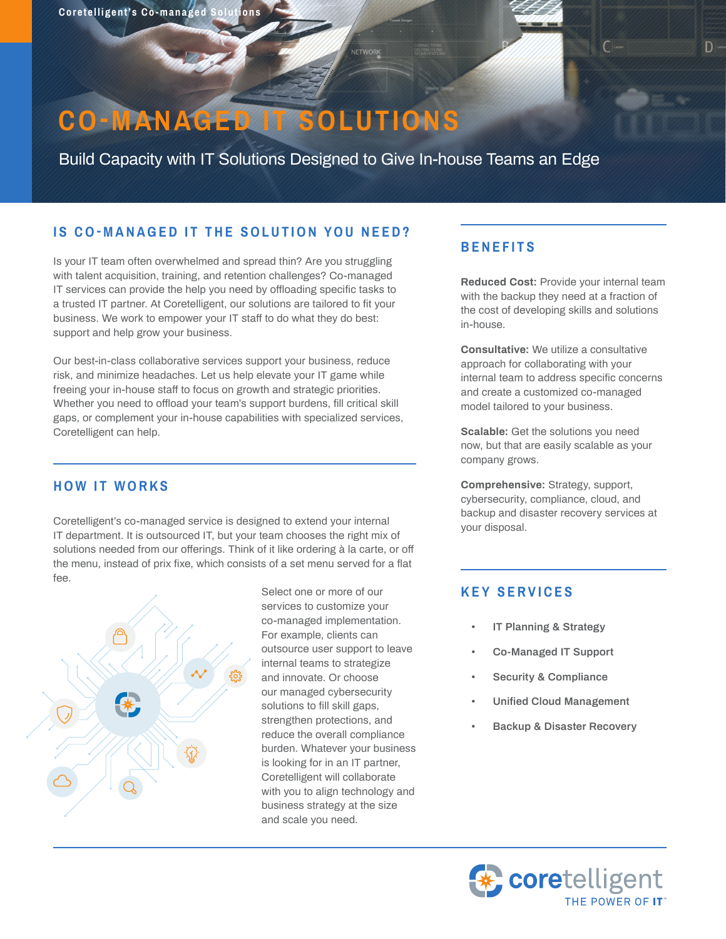## **CO - MANAGED IT SOLUTIONS**

Build Capacity with IT Solutions Designed to Give In-house Teams an Edge

NETWORK

## **IS CO-MANAGED IT THE SOLUTION YOU NEED?**

Is your IT team often overwhelmed and spread thin? Are you struggling with talent acquisition, training, and retention challenges? Co-managed IT services can provide the help you need by offloading specific tasks to a trusted IT partner. At Coretelligent, our solutions are tailored to fit your business. We work to empower your IT staff to do what they do best: support and help grow your business.

Our best-in-class collaborative services support your business, reduce risk, and minimize headaches. Let us help elevate your IT game while freeing your in-house staff to focus on growth and strategic priorities. Whether you need to offload your team's support burdens, fill critical skill gaps, or complement your in-house capabilities with specialized services, Coretelligent can help.

## **HOW IT WORKS**

Coretelligent's co-managed service is designed to extend your internal IT department. It is outsourced IT, but your team chooses the right mix of solutions needed from our offerings. Think of it like ordering à la carte, or off the menu, instead of prix fixe, which consists of a set menu served for a flat fee.



Select one or more of our services to customize your co-managed implementation. For example, clients can outsource user support to leave internal teams to strategize and innovate. Or choose our managed cybersecurity solutions to fill skill gaps, strengthen protections, and reduce the overall compliance burden. Whatever your business is looking for in an IT partner, Coretelligent will collaborate with you to align technology and business strategy at the size and scale you need.

## **BENEFITS**

**Reduced Cost:** Provide your internal team with the backup they need at a fraction of the cost of developing skills and solutions in-house.

D%

**Consultative:** We utilize a consultative approach for collaborating with your internal team to address specific concerns and create a customized co-managed model tailored to your business.

**Scalable:** Get the solutions you need now, but that are easily scalable as your company grows.

**Comprehensive:** Strategy, support, cybersecurity, compliance, cloud, and backup and disaster recovery services at your disposal.

## **KEY SERVICE S**

- **• IT Planning & Strategy**
- **• Co-Managed IT Support**
- **• Security & Compliance**
- **• Unified Cloud Management**
- **• Backup & Disaster Recovery**

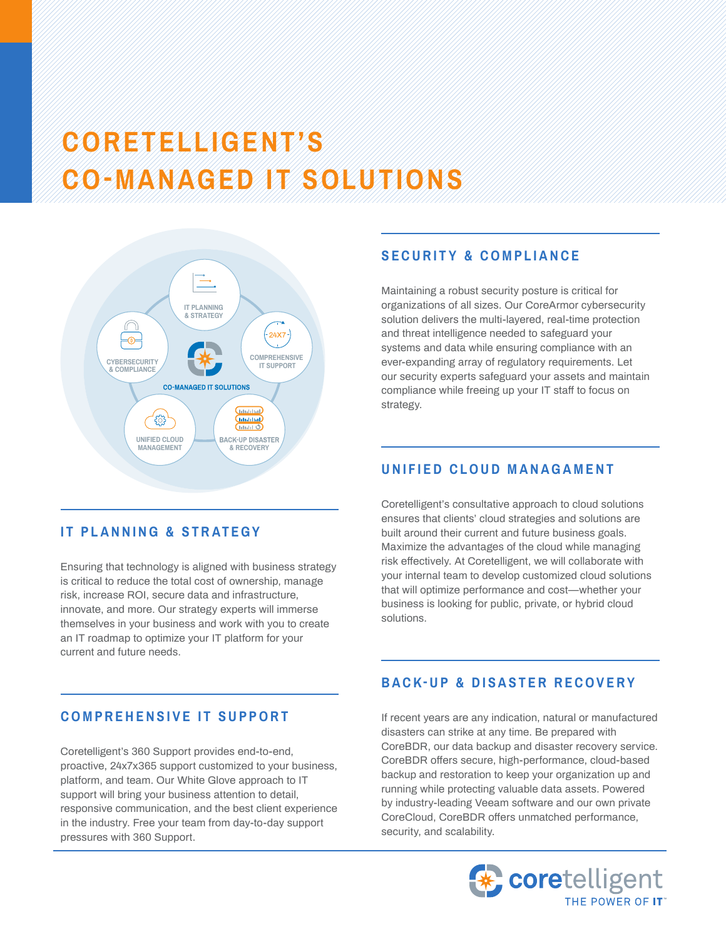# **CORETELLIGENT'S CO-MANAGED IT SOLUTIONS**



## **IT PLANNING & STRATEGY**

Ensuring that technology is aligned with business strategy is critical to reduce the total cost of ownership, manage risk, increase ROI, secure data and infrastructure, innovate, and more. Our strategy experts will immerse themselves in your business and work with you to create an IT roadmap to optimize your IT platform for your current and future needs.

## **SECURITY & COMPLIANCE**

Maintaining a robust security posture is critical for organizations of all sizes. Our CoreArmor cybersecurity solution delivers the multi-layered, real-time protection and threat intelligence needed to safeguard your systems and data while ensuring compliance with an ever-expanding array of regulatory requirements. Let our security experts safeguard your assets and maintain compliance while freeing up your IT staff to focus on strategy.

## **UNIFIED CLOUD MANAGAMENT**

Coretelligent's consultative approach to cloud solutions ensures that clients' cloud strategies and solutions are built around their current and future business goals. Maximize the advantages of the cloud while managing risk effectively. At Coretelligent, we will collaborate with your internal team to develop customized cloud solutions that will optimize performance and cost—whether your business is looking for public, private, or hybrid cloud solutions.

## **BACK-UP & DISASTER RECOVERY**

#### If recent years are any indication, natural or manufactured disasters can strike at any time. Be prepared with CoreBDR, our data backup and disaster recovery service. CoreBDR offers secure, high-performance, cloud-based backup and restoration to keep your organization up and running while protecting valuable data assets. Powered by industry-leading Veeam software and our own private CoreCloud, CoreBDR offers unmatched performance, security, and scalability.



## **COMPREHENSIVE IT SUPPORT**

Coretelligent's 360 Support provides end-to-end, proactive, 24x7x365 support customized to your business, platform, and team. Our White Glove approach to IT support will bring your business attention to detail, responsive communication, and the best client experience in the industry. Free your team from day-to-day support pressures with 360 Support.